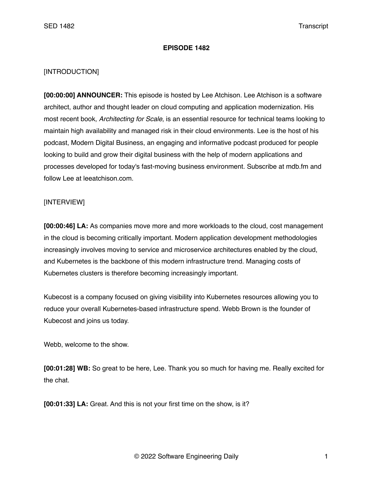## **EPISODE 1482**

## [INTRODUCTION]

**[00:00:00] ANNOUNCER:** This episode is hosted by Lee Atchison. Lee Atchison is a software architect, author and thought leader on cloud computing and application modernization. His most recent book, *Architecting for Scale*, is an essential resource for technical teams looking to maintain high availability and managed risk in their cloud environments. Lee is the host of his podcast, Modern Digital Business, an engaging and informative podcast produced for people looking to build and grow their digital business with the help of modern applications and processes developed for today's fast-moving business environment. Subscribe at mdb.fm and follow Lee at leeatchison.com.

## [INTERVIEW]

**[00:00:46] LA:** As companies move more and more workloads to the cloud, cost management in the cloud is becoming critically important. Modern application development methodologies increasingly involves moving to service and microservice architectures enabled by the cloud, and Kubernetes is the backbone of this modern infrastructure trend. Managing costs of Kubernetes clusters is therefore becoming increasingly important.

Kubecost is a company focused on giving visibility into Kubernetes resources allowing you to reduce your overall Kubernetes-based infrastructure spend. Webb Brown is the founder of Kubecost and joins us today.

Webb, welcome to the show.

**[00:01:28] WB:** So great to be here, Lee. Thank you so much for having me. Really excited for the chat.

**[00:01:33] LA:** Great. And this is not your first time on the show, is it?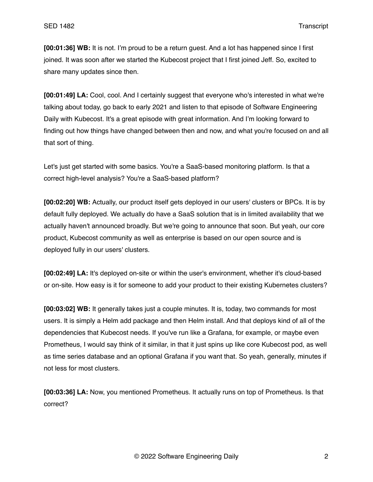**[00:01:36] WB:** It is not. I'm proud to be a return guest. And a lot has happened since I first joined. It was soon after we started the Kubecost project that I first joined Jeff. So, excited to share many updates since then.

**[00:01:49] LA:** Cool, cool. And I certainly suggest that everyone who's interested in what we're talking about today, go back to early 2021 and listen to that episode of Software Engineering Daily with Kubecost. It's a great episode with great information. And I'm looking forward to finding out how things have changed between then and now, and what you're focused on and all that sort of thing.

Let's just get started with some basics. You're a SaaS-based monitoring platform. Is that a correct high-level analysis? You're a SaaS-based platform?

**[00:02:20] WB:** Actually, our product itself gets deployed in our users' clusters or BPCs. It is by default fully deployed. We actually do have a SaaS solution that is in limited availability that we actually haven't announced broadly. But we're going to announce that soon. But yeah, our core product, Kubecost community as well as enterprise is based on our open source and is deployed fully in our users' clusters.

**[00:02:49] LA:** It's deployed on-site or within the user's environment, whether it's cloud-based or on-site. How easy is it for someone to add your product to their existing Kubernetes clusters?

**[00:03:02] WB:** It generally takes just a couple minutes. It is, today, two commands for most users. It is simply a Helm add package and then Helm install. And that deploys kind of all of the dependencies that Kubecost needs. If you've run like a Grafana, for example, or maybe even Prometheus, I would say think of it similar, in that it just spins up like core Kubecost pod, as well as time series database and an optional Grafana if you want that. So yeah, generally, minutes if not less for most clusters.

**[00:03:36] LA:** Now, you mentioned Prometheus. It actually runs on top of Prometheus. Is that correct?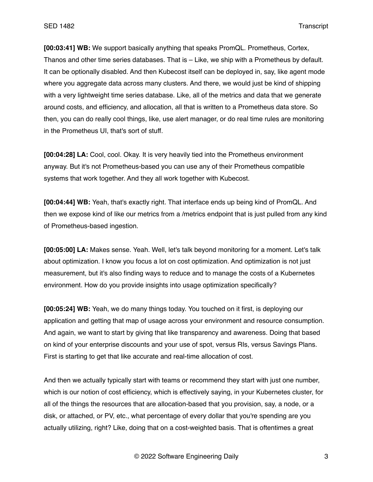**[00:03:41] WB:** We support basically anything that speaks PromQL. Prometheus, Cortex, Thanos and other time series databases. That is – Like, we ship with a Prometheus by default. It can be optionally disabled. And then Kubecost itself can be deployed in, say, like agent mode where you aggregate data across many clusters. And there, we would just be kind of shipping with a very lightweight time series database. Like, all of the metrics and data that we generate around costs, and efficiency, and allocation, all that is written to a Prometheus data store. So then, you can do really cool things, like, use alert manager, or do real time rules are monitoring in the Prometheus UI, that's sort of stuff.

**[00:04:28] LA:** Cool, cool. Okay. It is very heavily tied into the Prometheus environment anyway. But it's not Prometheus-based you can use any of their Prometheus compatible systems that work together. And they all work together with Kubecost.

**[00:04:44] WB:** Yeah, that's exactly right. That interface ends up being kind of PromQL. And then we expose kind of like our metrics from a /metrics endpoint that is just pulled from any kind of Prometheus-based ingestion.

**[00:05:00] LA:** Makes sense. Yeah. Well, let's talk beyond monitoring for a moment. Let's talk about optimization. I know you focus a lot on cost optimization. And optimization is not just measurement, but it's also finding ways to reduce and to manage the costs of a Kubernetes environment. How do you provide insights into usage optimization specifically?

**[00:05:24] WB:** Yeah, we do many things today. You touched on it first, is deploying our application and getting that map of usage across your environment and resource consumption. And again, we want to start by giving that like transparency and awareness. Doing that based on kind of your enterprise discounts and your use of spot, versus RIs, versus Savings Plans. First is starting to get that like accurate and real-time allocation of cost.

And then we actually typically start with teams or recommend they start with just one number, which is our notion of cost efficiency, which is effectively saying, in your Kubernetes cluster, for all of the things the resources that are allocation-based that you provision, say, a node, or a disk, or attached, or PV, etc., what percentage of every dollar that you're spending are you actually utilizing, right? Like, doing that on a cost-weighted basis. That is oftentimes a great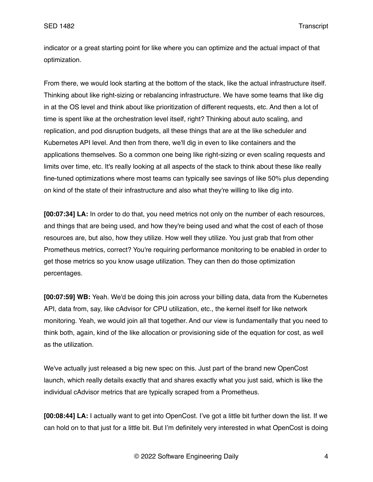indicator or a great starting point for like where you can optimize and the actual impact of that optimization.

From there, we would look starting at the bottom of the stack, like the actual infrastructure itself. Thinking about like right-sizing or rebalancing infrastructure. We have some teams that like dig in at the OS level and think about like prioritization of different requests, etc. And then a lot of time is spent like at the orchestration level itself, right? Thinking about auto scaling, and replication, and pod disruption budgets, all these things that are at the like scheduler and Kubernetes API level. And then from there, we'll dig in even to like containers and the applications themselves. So a common one being like right-sizing or even scaling requests and limits over time, etc. It's really looking at all aspects of the stack to think about these like really fine-tuned optimizations where most teams can typically see savings of like 50% plus depending on kind of the state of their infrastructure and also what they're willing to like dig into.

**[00:07:34] LA:** In order to do that, you need metrics not only on the number of each resources, and things that are being used, and how they're being used and what the cost of each of those resources are, but also, how they utilize. How well they utilize. You just grab that from other Prometheus metrics, correct? You're requiring performance monitoring to be enabled in order to get those metrics so you know usage utilization. They can then do those optimization percentages.

**[00:07:59] WB:** Yeah. We'd be doing this join across your billing data, data from the Kubernetes API, data from, say, like cAdvisor for CPU utilization, etc., the kernel itself for like network monitoring. Yeah, we would join all that together. And our view is fundamentally that you need to think both, again, kind of the like allocation or provisioning side of the equation for cost, as well as the utilization.

We've actually just released a big new spec on this. Just part of the brand new OpenCost launch, which really details exactly that and shares exactly what you just said, which is like the individual cAdvisor metrics that are typically scraped from a Prometheus.

**[00:08:44] LA:** I actually want to get into OpenCost. I've got a little bit further down the list. If we can hold on to that just for a little bit. But I'm definitely very interested in what OpenCost is doing

© 2022 Software Engineering Daily 4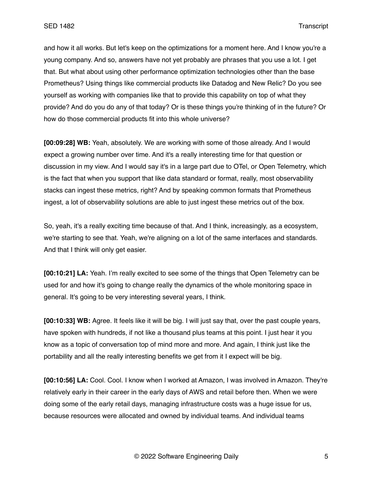and how it all works. But let's keep on the optimizations for a moment here. And I know you're a young company. And so, answers have not yet probably are phrases that you use a lot. I get that. But what about using other performance optimization technologies other than the base Prometheus? Using things like commercial products like Datadog and New Relic? Do you see yourself as working with companies like that to provide this capability on top of what they provide? And do you do any of that today? Or is these things you're thinking of in the future? Or how do those commercial products fit into this whole universe?

**[00:09:28] WB:** Yeah, absolutely. We are working with some of those already. And I would expect a growing number over time. And it's a really interesting time for that question or discussion in my view. And I would say it's in a large part due to OTel, or Open Telemetry, which is the fact that when you support that like data standard or format, really, most observability stacks can ingest these metrics, right? And by speaking common formats that Prometheus ingest, a lot of observability solutions are able to just ingest these metrics out of the box.

So, yeah, it's a really exciting time because of that. And I think, increasingly, as a ecosystem, we're starting to see that. Yeah, we're aligning on a lot of the same interfaces and standards. And that I think will only get easier.

**[00:10:21] LA:** Yeah. I'm really excited to see some of the things that Open Telemetry can be used for and how it's going to change really the dynamics of the whole monitoring space in general. It's going to be very interesting several years, I think.

**[00:10:33] WB:** Agree. It feels like it will be big. I will just say that, over the past couple years, have spoken with hundreds, if not like a thousand plus teams at this point. I just hear it you know as a topic of conversation top of mind more and more. And again, I think just like the portability and all the really interesting benefits we get from it I expect will be big.

**[00:10:56] LA:** Cool. Cool. I know when I worked at Amazon, I was involved in Amazon. They're relatively early in their career in the early days of AWS and retail before then. When we were doing some of the early retail days, managing infrastructure costs was a huge issue for us, because resources were allocated and owned by individual teams. And individual teams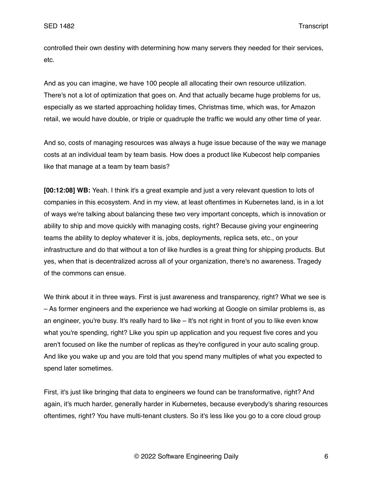controlled their own destiny with determining how many servers they needed for their services, etc.

And as you can imagine, we have 100 people all allocating their own resource utilization. There's not a lot of optimization that goes on. And that actually became huge problems for us, especially as we started approaching holiday times, Christmas time, which was, for Amazon retail, we would have double, or triple or quadruple the traffic we would any other time of year.

And so, costs of managing resources was always a huge issue because of the way we manage costs at an individual team by team basis. How does a product like Kubecost help companies like that manage at a team by team basis?

**[00:12:08] WB:** Yeah. I think it's a great example and just a very relevant question to lots of companies in this ecosystem. And in my view, at least oftentimes in Kubernetes land, is in a lot of ways we're talking about balancing these two very important concepts, which is innovation or ability to ship and move quickly with managing costs, right? Because giving your engineering teams the ability to deploy whatever it is, jobs, deployments, replica sets, etc., on your infrastructure and do that without a ton of like hurdles is a great thing for shipping products. But yes, when that is decentralized across all of your organization, there's no awareness. Tragedy of the commons can ensue.

We think about it in three ways. First is just awareness and transparency, right? What we see is – As former engineers and the experience we had working at Google on similar problems is, as an engineer, you're busy. It's really hard to like – It's not right in front of you to like even know what you're spending, right? Like you spin up application and you request five cores and you aren't focused on like the number of replicas as they're configured in your auto scaling group. And like you wake up and you are told that you spend many multiples of what you expected to spend later sometimes.

First, it's just like bringing that data to engineers we found can be transformative, right? And again, it's much harder, generally harder in Kubernetes, because everybody's sharing resources oftentimes, right? You have multi-tenant clusters. So it's less like you go to a core cloud group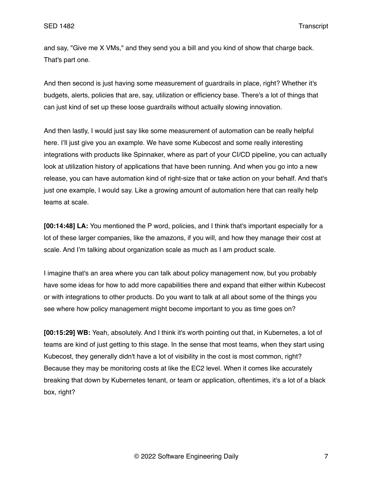and say, "Give me X VMs," and they send you a bill and you kind of show that charge back. That's part one.

And then second is just having some measurement of guardrails in place, right? Whether it's budgets, alerts, policies that are, say, utilization or efficiency base. There's a lot of things that can just kind of set up these loose guardrails without actually slowing innovation.

And then lastly, I would just say like some measurement of automation can be really helpful here. I'll just give you an example. We have some Kubecost and some really interesting integrations with products like Spinnaker, where as part of your CI/CD pipeline, you can actually look at utilization history of applications that have been running. And when you go into a new release, you can have automation kind of right-size that or take action on your behalf. And that's just one example, I would say. Like a growing amount of automation here that can really help teams at scale.

**[00:14:48] LA:** You mentioned the P word, policies, and I think that's important especially for a lot of these larger companies, like the amazons, if you will, and how they manage their cost at scale. And I'm talking about organization scale as much as I am product scale.

I imagine that's an area where you can talk about policy management now, but you probably have some ideas for how to add more capabilities there and expand that either within Kubecost or with integrations to other products. Do you want to talk at all about some of the things you see where how policy management might become important to you as time goes on?

**[00:15:29] WB:** Yeah, absolutely. And I think it's worth pointing out that, in Kubernetes, a lot of teams are kind of just getting to this stage. In the sense that most teams, when they start using Kubecost, they generally didn't have a lot of visibility in the cost is most common, right? Because they may be monitoring costs at like the EC2 level. When it comes like accurately breaking that down by Kubernetes tenant, or team or application, oftentimes, it's a lot of a black box, right?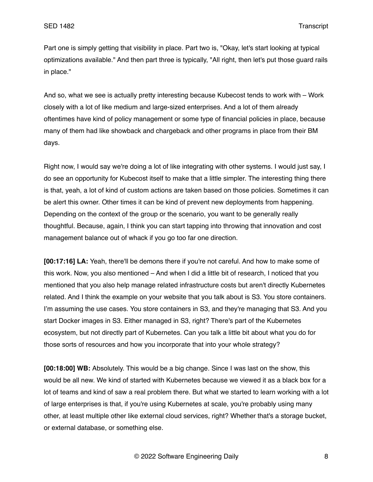Part one is simply getting that visibility in place. Part two is, "Okay, let's start looking at typical optimizations available." And then part three is typically, "All right, then let's put those guard rails in place."

And so, what we see is actually pretty interesting because Kubecost tends to work with – Work closely with a lot of like medium and large-sized enterprises. And a lot of them already oftentimes have kind of policy management or some type of financial policies in place, because many of them had like showback and chargeback and other programs in place from their BM days.

Right now, I would say we're doing a lot of like integrating with other systems. I would just say, I do see an opportunity for Kubecost itself to make that a little simpler. The interesting thing there is that, yeah, a lot of kind of custom actions are taken based on those policies. Sometimes it can be alert this owner. Other times it can be kind of prevent new deployments from happening. Depending on the context of the group or the scenario, you want to be generally really thoughtful. Because, again, I think you can start tapping into throwing that innovation and cost management balance out of whack if you go too far one direction.

**[00:17:16] LA:** Yeah, there'll be demons there if you're not careful. And how to make some of this work. Now, you also mentioned – And when I did a little bit of research, I noticed that you mentioned that you also help manage related infrastructure costs but aren't directly Kubernetes related. And I think the example on your website that you talk about is S3. You store containers. I'm assuming the use cases. You store containers in S3, and they're managing that S3. And you start Docker images in S3. Either managed in S3, right? There's part of the Kubernetes ecosystem, but not directly part of Kubernetes. Can you talk a little bit about what you do for those sorts of resources and how you incorporate that into your whole strategy?

**[00:18:00] WB:** Absolutely. This would be a big change. Since I was last on the show, this would be all new. We kind of started with Kubernetes because we viewed it as a black box for a lot of teams and kind of saw a real problem there. But what we started to learn working with a lot of large enterprises is that, if you're using Kubernetes at scale, you're probably using many other, at least multiple other like external cloud services, right? Whether that's a storage bucket, or external database, or something else.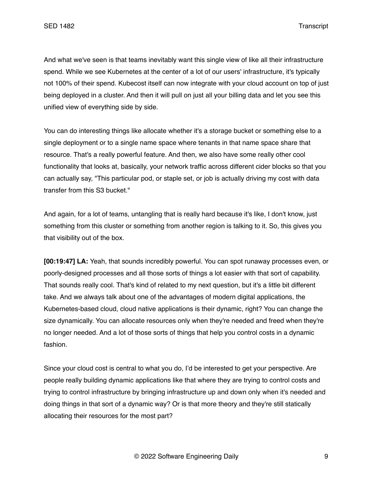And what we've seen is that teams inevitably want this single view of like all their infrastructure spend. While we see Kubernetes at the center of a lot of our users' infrastructure, it's typically not 100% of their spend. Kubecost itself can now integrate with your cloud account on top of just being deployed in a cluster. And then it will pull on just all your billing data and let you see this unified view of everything side by side.

You can do interesting things like allocate whether it's a storage bucket or something else to a single deployment or to a single name space where tenants in that name space share that resource. That's a really powerful feature. And then, we also have some really other cool functionality that looks at, basically, your network traffic across different cider blocks so that you can actually say, "This particular pod, or staple set, or job is actually driving my cost with data transfer from this S3 bucket."

And again, for a lot of teams, untangling that is really hard because it's like, I don't know, just something from this cluster or something from another region is talking to it. So, this gives you that visibility out of the box.

**[00:19:47] LA:** Yeah, that sounds incredibly powerful. You can spot runaway processes even, or poorly-designed processes and all those sorts of things a lot easier with that sort of capability. That sounds really cool. That's kind of related to my next question, but it's a little bit different take. And we always talk about one of the advantages of modern digital applications, the Kubernetes-based cloud, cloud native applications is their dynamic, right? You can change the size dynamically. You can allocate resources only when they're needed and freed when they're no longer needed. And a lot of those sorts of things that help you control costs in a dynamic fashion.

Since your cloud cost is central to what you do, I'd be interested to get your perspective. Are people really building dynamic applications like that where they are trying to control costs and trying to control infrastructure by bringing infrastructure up and down only when it's needed and doing things in that sort of a dynamic way? Or is that more theory and they're still statically allocating their resources for the most part?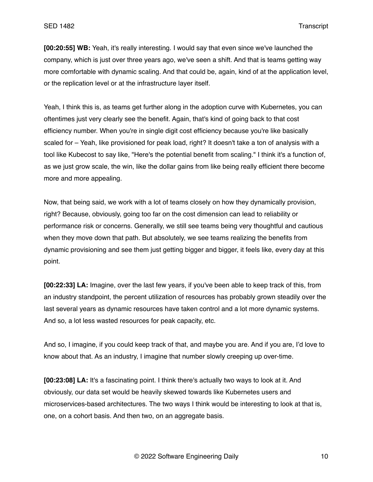**[00:20:55] WB:** Yeah, it's really interesting. I would say that even since we've launched the company, which is just over three years ago, we've seen a shift. And that is teams getting way more comfortable with dynamic scaling. And that could be, again, kind of at the application level, or the replication level or at the infrastructure layer itself.

Yeah, I think this is, as teams get further along in the adoption curve with Kubernetes, you can oftentimes just very clearly see the benefit. Again, that's kind of going back to that cost efficiency number. When you're in single digit cost efficiency because you're like basically scaled for – Yeah, like provisioned for peak load, right? It doesn't take a ton of analysis with a tool like Kubecost to say like, "Here's the potential benefit from scaling." I think it's a function of, as we just grow scale, the win, like the dollar gains from like being really efficient there become more and more appealing.

Now, that being said, we work with a lot of teams closely on how they dynamically provision, right? Because, obviously, going too far on the cost dimension can lead to reliability or performance risk or concerns. Generally, we still see teams being very thoughtful and cautious when they move down that path. But absolutely, we see teams realizing the benefits from dynamic provisioning and see them just getting bigger and bigger, it feels like, every day at this point.

**[00:22:33] LA:** Imagine, over the last few years, if you've been able to keep track of this, from an industry standpoint, the percent utilization of resources has probably grown steadily over the last several years as dynamic resources have taken control and a lot more dynamic systems. And so, a lot less wasted resources for peak capacity, etc.

And so, I imagine, if you could keep track of that, and maybe you are. And if you are, I'd love to know about that. As an industry, I imagine that number slowly creeping up over-time.

**[00:23:08] LA:** It's a fascinating point. I think there's actually two ways to look at it. And obviously, our data set would be heavily skewed towards like Kubernetes users and microservices-based architectures. The two ways I think would be interesting to look at that is, one, on a cohort basis. And then two, on an aggregate basis.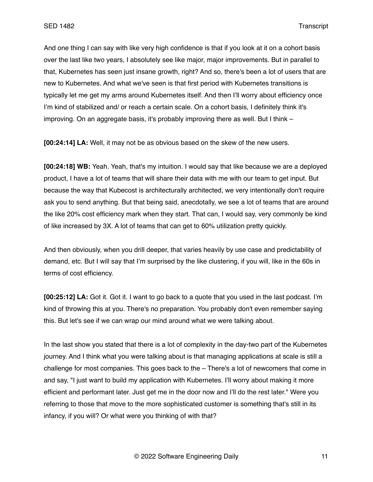And one thing I can say with like very high confidence is that if you look at it on a cohort basis over the last like two years, I absolutely see like major, major improvements. But in parallel to that, Kubernetes has seen just insane growth, right? And so, there's been a lot of users that are new to Kubernetes. And what we've seen is that first period with Kubernetes transitions is typically let me get my arms around Kubernetes itself. And then I'll worry about efficiency once I'm kind of stabilized and/ or reach a certain scale. On a cohort basis, I definitely think it's improving. On an aggregate basis, it's probably improving there as well. But I think –

**[00:24:14] LA:** Well, it may not be as obvious based on the skew of the new users.

**[00:24:18] WB:** Yeah. Yeah, that's my intuition. I would say that like because we are a deployed product, I have a lot of teams that will share their data with me with our team to get input. But because the way that Kubecost is architecturally architected, we very intentionally don't require ask you to send anything. But that being said, anecdotally, we see a lot of teams that are around the like 20% cost efficiency mark when they start. That can, I would say, very commonly be kind of like increased by 3X. A lot of teams that can get to 60% utilization pretty quickly.

And then obviously, when you drill deeper, that varies heavily by use case and predictability of demand, etc. But I will say that I'm surprised by the like clustering, if you will, like in the 60s in terms of cost efficiency.

**[00:25:12] LA:** Got it. Got it. I want to go back to a quote that you used in the last podcast. I'm kind of throwing this at you. There's no preparation. You probably don't even remember saying this. But let's see if we can wrap our mind around what we were talking about.

In the last show you stated that there is a lot of complexity in the day-two part of the Kubernetes journey. And I think what you were talking about is that managing applications at scale is still a challenge for most companies. This goes back to the – There's a lot of newcomers that come in and say, "I just want to build my application with Kubernetes. I'll worry about making it more efficient and performant later. Just get me in the door now and I'll do the rest later." Were you referring to those that move to the more sophisticated customer is something that's still in its infancy, if you will? Or what were you thinking of with that?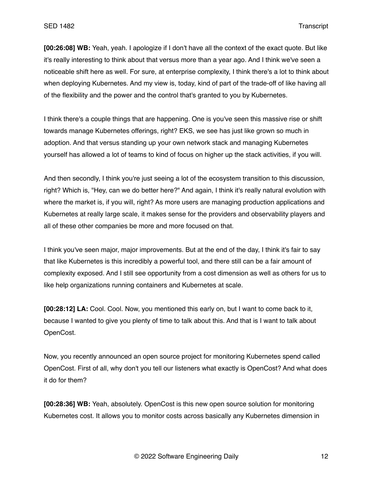**[00:26:08] WB:** Yeah, yeah. I apologize if I don't have all the context of the exact quote. But like it's really interesting to think about that versus more than a year ago. And I think we've seen a noticeable shift here as well. For sure, at enterprise complexity, I think there's a lot to think about when deploying Kubernetes. And my view is, today, kind of part of the trade-off of like having all of the flexibility and the power and the control that's granted to you by Kubernetes.

I think there's a couple things that are happening. One is you've seen this massive rise or shift towards manage Kubernetes offerings, right? EKS, we see has just like grown so much in adoption. And that versus standing up your own network stack and managing Kubernetes yourself has allowed a lot of teams to kind of focus on higher up the stack activities, if you will.

And then secondly, I think you're just seeing a lot of the ecosystem transition to this discussion, right? Which is, "Hey, can we do better here?" And again, I think it's really natural evolution with where the market is, if you will, right? As more users are managing production applications and Kubernetes at really large scale, it makes sense for the providers and observability players and all of these other companies be more and more focused on that.

I think you've seen major, major improvements. But at the end of the day, I think it's fair to say that like Kubernetes is this incredibly a powerful tool, and there still can be a fair amount of complexity exposed. And I still see opportunity from a cost dimension as well as others for us to like help organizations running containers and Kubernetes at scale.

**[00:28:12] LA:** Cool. Cool. Now, you mentioned this early on, but I want to come back to it, because I wanted to give you plenty of time to talk about this. And that is I want to talk about OpenCost.

Now, you recently announced an open source project for monitoring Kubernetes spend called OpenCost. First of all, why don't you tell our listeners what exactly is OpenCost? And what does it do for them?

**[00:28:36] WB:** Yeah, absolutely. OpenCost is this new open source solution for monitoring Kubernetes cost. It allows you to monitor costs across basically any Kubernetes dimension in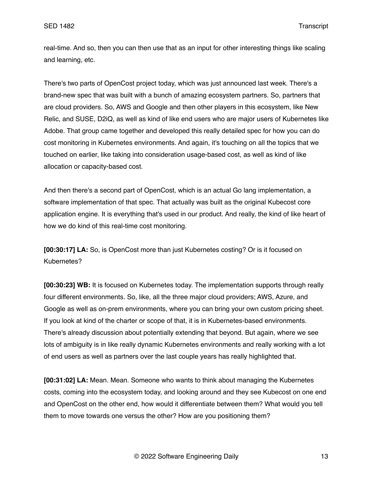real-time. And so, then you can then use that as an input for other interesting things like scaling and learning, etc.

There's two parts of OpenCost project today, which was just announced last week. There's a brand-new spec that was built with a bunch of amazing ecosystem partners. So, partners that are cloud providers. So, AWS and Google and then other players in this ecosystem, like New Relic, and SUSE, D2iQ, as well as kind of like end users who are major users of Kubernetes like Adobe. That group came together and developed this really detailed spec for how you can do cost monitoring in Kubernetes environments. And again, it's touching on all the topics that we touched on earlier, like taking into consideration usage-based cost, as well as kind of like allocation or capacity-based cost.

And then there's a second part of OpenCost, which is an actual Go lang implementation, a software implementation of that spec. That actually was built as the original Kubecost core application engine. It is everything that's used in our product. And really, the kind of like heart of how we do kind of this real-time cost monitoring.

**[00:30:17] LA:** So, is OpenCost more than just Kubernetes costing? Or is it focused on Kubernetes?

**[00:30:23] WB:** It is focused on Kubernetes today. The implementation supports through really four different environments. So, like, all the three major cloud providers; AWS, Azure, and Google as well as on-prem environments, where you can bring your own custom pricing sheet. If you look at kind of the charter or scope of that, it is in Kubernetes-based environments. There's already discussion about potentially extending that beyond. But again, where we see lots of ambiguity is in like really dynamic Kubernetes environments and really working with a lot of end users as well as partners over the last couple years has really highlighted that.

**[00:31:02] LA:** Mean. Mean. Someone who wants to think about managing the Kubernetes costs, coming into the ecosystem today, and looking around and they see Kubecost on one end and OpenCost on the other end, how would it differentiate between them? What would you tell them to move towards one versus the other? How are you positioning them?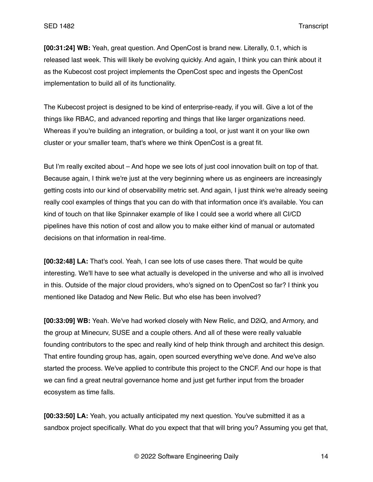**[00:31:24] WB:** Yeah, great question. And OpenCost is brand new. Literally, 0.1, which is released last week. This will likely be evolving quickly. And again, I think you can think about it as the Kubecost cost project implements the OpenCost spec and ingests the OpenCost implementation to build all of its functionality.

The Kubecost project is designed to be kind of enterprise-ready, if you will. Give a lot of the things like RBAC, and advanced reporting and things that like larger organizations need. Whereas if you're building an integration, or building a tool, or just want it on your like own cluster or your smaller team, that's where we think OpenCost is a great fit.

But I'm really excited about – And hope we see lots of just cool innovation built on top of that. Because again, I think we're just at the very beginning where us as engineers are increasingly getting costs into our kind of observability metric set. And again, I just think we're already seeing really cool examples of things that you can do with that information once it's available. You can kind of touch on that like Spinnaker example of like I could see a world where all CI/CD pipelines have this notion of cost and allow you to make either kind of manual or automated decisions on that information in real-time.

**[00:32:48] LA:** That's cool. Yeah, I can see lots of use cases there. That would be quite interesting. We'll have to see what actually is developed in the universe and who all is involved in this. Outside of the major cloud providers, who's signed on to OpenCost so far? I think you mentioned like Datadog and New Relic. But who else has been involved?

**[00:33:09] WB:** Yeah. We've had worked closely with New Relic, and D2iQ, and Armory, and the group at Minecurv, SUSE and a couple others. And all of these were really valuable founding contributors to the spec and really kind of help think through and architect this design. That entire founding group has, again, open sourced everything we've done. And we've also started the process. We've applied to contribute this project to the CNCF. And our hope is that we can find a great neutral governance home and just get further input from the broader ecosystem as time falls.

**[00:33:50] LA:** Yeah, you actually anticipated my next question. You've submitted it as a sandbox project specifically. What do you expect that that will bring you? Assuming you get that,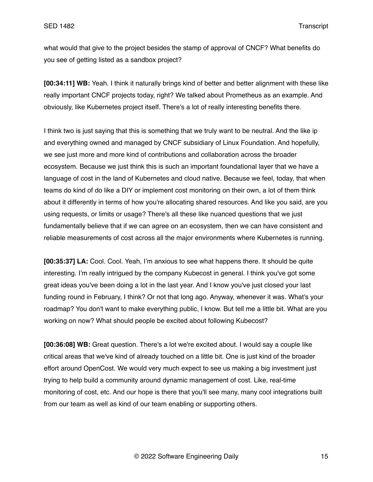what would that give to the project besides the stamp of approval of CNCF? What benefits do you see of getting listed as a sandbox project?

**[00:34:11] WB:** Yeah. I think it naturally brings kind of better and better alignment with these like really important CNCF projects today, right? We talked about Prometheus as an example. And obviously, like Kubernetes project itself. There's a lot of really interesting benefits there.

I think two is just saying that this is something that we truly want to be neutral. And the like ip and everything owned and managed by CNCF subsidiary of Linux Foundation. And hopefully, we see just more and more kind of contributions and collaboration across the broader ecosystem. Because we just think this is such an important foundational layer that we have a language of cost in the land of Kubernetes and cloud native. Because we feel, today, that when teams do kind of do like a DIY or implement cost monitoring on their own, a lot of them think about it differently in terms of how you're allocating shared resources. And like you said, are you using requests, or limits or usage? There's all these like nuanced questions that we just fundamentally believe that if we can agree on an ecosystem, then we can have consistent and reliable measurements of cost across all the major environments where Kubernetes is running.

**[00:35:37] LA:** Cool. Cool. Yeah, I'm anxious to see what happens there. It should be quite interesting. I'm really intrigued by the company Kubecost in general. I think you've got some great ideas you've been doing a lot in the last year. And I know you've just closed your last funding round in February, I think? Or not that long ago. Anyway, whenever it was. What's your roadmap? You don't want to make everything public, I know. But tell me a little bit. What are you working on now? What should people be excited about following Kubecost?

**[00:36:08] WB:** Great question. There's a lot we're excited about. I would say a couple like critical areas that we've kind of already touched on a little bit. One is just kind of the broader effort around OpenCost. We would very much expect to see us making a big investment just trying to help build a community around dynamic management of cost. Like, real-time monitoring of cost, etc. And our hope is there that you'll see many, many cool integrations built from our team as well as kind of our team enabling or supporting others.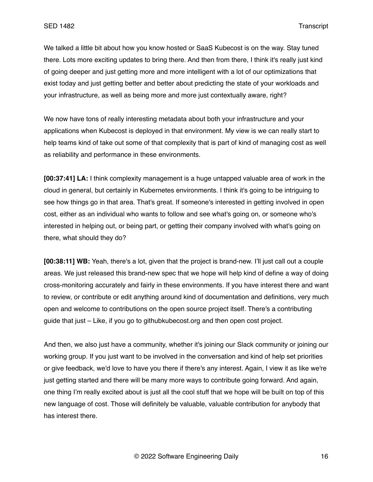We talked a little bit about how you know hosted or SaaS Kubecost is on the way. Stay tuned there. Lots more exciting updates to bring there. And then from there, I think it's really just kind of going deeper and just getting more and more intelligent with a lot of our optimizations that exist today and just getting better and better about predicting the state of your workloads and your infrastructure, as well as being more and more just contextually aware, right?

We now have tons of really interesting metadata about both your infrastructure and your applications when Kubecost is deployed in that environment. My view is we can really start to help teams kind of take out some of that complexity that is part of kind of managing cost as well as reliability and performance in these environments.

**[00:37:41] LA:** I think complexity management is a huge untapped valuable area of work in the cloud in general, but certainly in Kubernetes environments. I think it's going to be intriguing to see how things go in that area. That's great. If someone's interested in getting involved in open cost, either as an individual who wants to follow and see what's going on, or someone who's interested in helping out, or being part, or getting their company involved with what's going on there, what should they do?

**[00:38:11] WB:** Yeah, there's a lot, given that the project is brand-new. I'll just call out a couple areas. We just released this brand-new spec that we hope will help kind of define a way of doing cross-monitoring accurately and fairly in these environments. If you have interest there and want to review, or contribute or edit anything around kind of documentation and definitions, very much open and welcome to contributions on the open source project itself. There's a contributing guide that just – Like, if you go to githubkubecost.org and then open cost project.

And then, we also just have a community, whether it's joining our Slack community or joining our working group. If you just want to be involved in the conversation and kind of help set priorities or give feedback, we'd love to have you there if there's any interest. Again, I view it as like we're just getting started and there will be many more ways to contribute going forward. And again, one thing I'm really excited about is just all the cool stuff that we hope will be built on top of this new language of cost. Those will definitely be valuable, valuable contribution for anybody that has interest there.